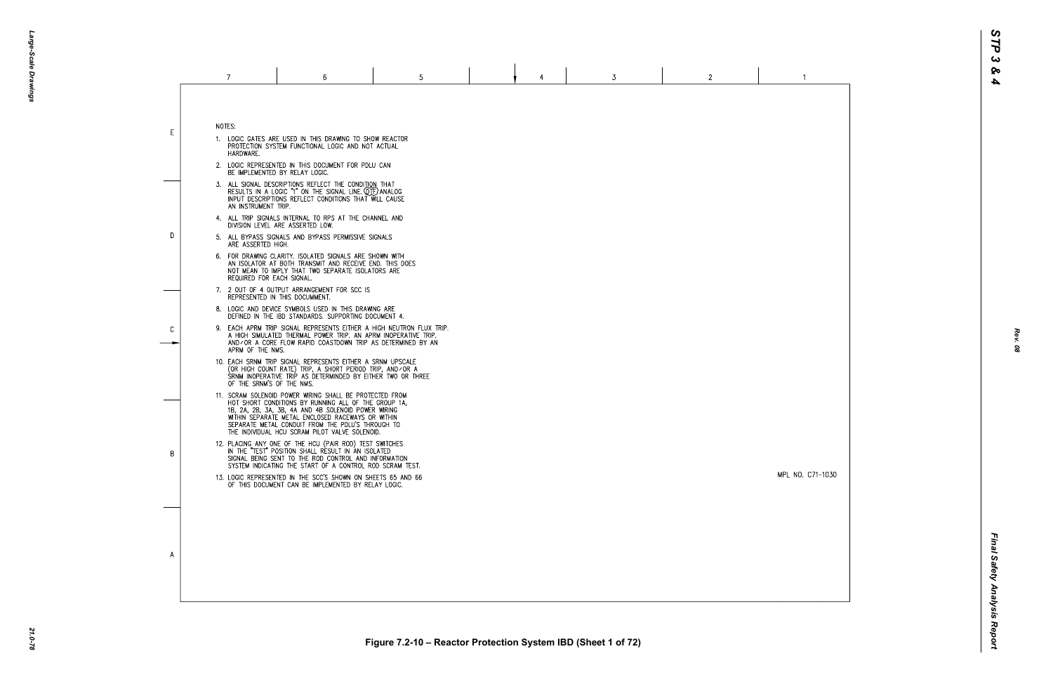MPL NO. C71-1030

 $\overline{1}$ 

|    | 7                                                                                                                                                                                               | 6                                                                                                                                                                                                                                                                                                                                  | 5 |  | 4 | 3 | $\mathbf{2}$ |  |  |  |
|----|-------------------------------------------------------------------------------------------------------------------------------------------------------------------------------------------------|------------------------------------------------------------------------------------------------------------------------------------------------------------------------------------------------------------------------------------------------------------------------------------------------------------------------------------|---|--|---|---|--------------|--|--|--|
| E. | NOTES:<br>HARDWARE.                                                                                                                                                                             | 1. LOGIC GATES ARE USED IN THIS DRAWING TO SHOW REACTOR<br>PROTECTION SYSTEM FUNCTIONAL LOGIC AND NOT ACTUAL                                                                                                                                                                                                                       |   |  |   |   |              |  |  |  |
|    |                                                                                                                                                                                                 | 2. LOGIC REPRESENTED IN THIS DOCUMENT FOR PDLU CAN<br>BE IMPLEMENTED BY RELAY LOGIC.                                                                                                                                                                                                                                               |   |  |   |   |              |  |  |  |
|    | 3. ALL SIGNAL DESCRIPTIONS REFLECT THE CONDITION THAT<br>RESULTS IN A LOGIC "1" ON THE SIGNAL LINE. QTF) ANALOG<br>INPUT DESCRIPTIONS REFLECT CONDITIONS THAT WILL CAUSE<br>AN INSTRUMENT TRIP. |                                                                                                                                                                                                                                                                                                                                    |   |  |   |   |              |  |  |  |
| D. | 4. ALL TRIP SIGNALS INTERNAL TO RPS AT THE CHANNEL AND<br>DIVISION LEVEL ARE ASSERTED LOW.                                                                                                      |                                                                                                                                                                                                                                                                                                                                    |   |  |   |   |              |  |  |  |
|    | ARE ASSERTED HIGH.                                                                                                                                                                              | 5. ALL BYPASS SIGNALS AND BYPASS PERMISSIVE SIGNALS                                                                                                                                                                                                                                                                                |   |  |   |   |              |  |  |  |
|    | REQUIRED FOR EACH SIGNAL.                                                                                                                                                                       | 6. FOR DRAWING CLARITY. ISOLATED SIGNALS ARE SHOWN WITH<br>AN ISOLATOR AT BOTH TRANSMIT AND RECEIVE END. THIS DOES<br>NOT MEAN TO IMPLY THAT TWO SEPARATE ISOLATORS ARE                                                                                                                                                            |   |  |   |   |              |  |  |  |
|    |                                                                                                                                                                                                 | 7. 2 OUT OF 4 OUTPUT ARRANGEMENT FOR SCC IS<br>REPRESENTED IN THIS DOCUMMENT.                                                                                                                                                                                                                                                      |   |  |   |   |              |  |  |  |
|    |                                                                                                                                                                                                 | 8. LOGIC AND DEVICE SYMBOLS USED IN THIS DRAWING ARE<br>DEFINED IN THE IBD STANDARDS. SUPPORTING DOCUMENT 4.                                                                                                                                                                                                                       |   |  |   |   |              |  |  |  |
| C  | APRM OF THE NMS.                                                                                                                                                                                | 9. EACH APRM TRIP SIGNAL REPRESENTS EITHER A HIGH NEUTRON FLUX TRIP.<br>A HIGH SIMULATED THERMAL POWER TRIP. AN APRM INOPERATIVE TRIP.<br>AND/OR A CORE FLOW RAPID COASTDOWN TRIP AS DETERMINED BY AN                                                                                                                              |   |  |   |   |              |  |  |  |
|    | OF THE SRNM'S OF THE NMS.                                                                                                                                                                       | 10. EACH SRNM TRIP SIGNAL REPRESENTS EITHER A SRNM UPSCALE<br>(OR HIGH COUNT RATE) TRIP, A SHORT PERIOD TRIP, AND/OR A<br>SRNM INOPERATIVE TRIP AS DETERMINDED BY EITHER TWO OR THREE                                                                                                                                              |   |  |   |   |              |  |  |  |
|    |                                                                                                                                                                                                 | 11. SCRAM SOLENOID POWER WIRING SHALL BE PROTECTED FROM<br>HOT SHORT CONDITIONS BY RUNNING ALL OF THE GROUP 1A.<br>1B, 2A, 2B, 3A, 3B, 4A AND 4B SOLENOID POWER WIRING<br>WITHIN SEPARATE METAL ENCLOSED RACEWAYS OR WITHIN<br>SEPARATE METAL CONDUIT FROM THE PDLU'S THROUGH TO<br>THE INDIVIDUAL HCU SCRAM PILOT VALVE SOLENOID. |   |  |   |   |              |  |  |  |
| B  |                                                                                                                                                                                                 | 12. PLACING ANY ONE OF THE HCU (PAIR ROD) TEST SWITCHES<br>IN THE "TEST" POSITION SHALL RESULT IN AN ISOLATED<br>SIGNAL BEING SENT TO THE ROD CONTROL AND INFORMATION<br>SYSTEM INDICATING THE START OF A CONTROL ROD SCRAM TEST.                                                                                                  |   |  |   |   |              |  |  |  |
|    |                                                                                                                                                                                                 | 13. LOGIC REPRESENTED IN THE SCC'S SHOWN ON SHEETS 65 AND 66<br>OF THIS DOCUMENT CAN BE IMPLEMENTED BY RELAY LOGIC.                                                                                                                                                                                                                |   |  |   |   |              |  |  |  |
|    |                                                                                                                                                                                                 |                                                                                                                                                                                                                                                                                                                                    |   |  |   |   |              |  |  |  |
|    |                                                                                                                                                                                                 |                                                                                                                                                                                                                                                                                                                                    |   |  |   |   |              |  |  |  |
| A  |                                                                                                                                                                                                 |                                                                                                                                                                                                                                                                                                                                    |   |  |   |   |              |  |  |  |
|    |                                                                                                                                                                                                 |                                                                                                                                                                                                                                                                                                                                    |   |  |   |   |              |  |  |  |
|    |                                                                                                                                                                                                 |                                                                                                                                                                                                                                                                                                                                    |   |  |   |   |              |  |  |  |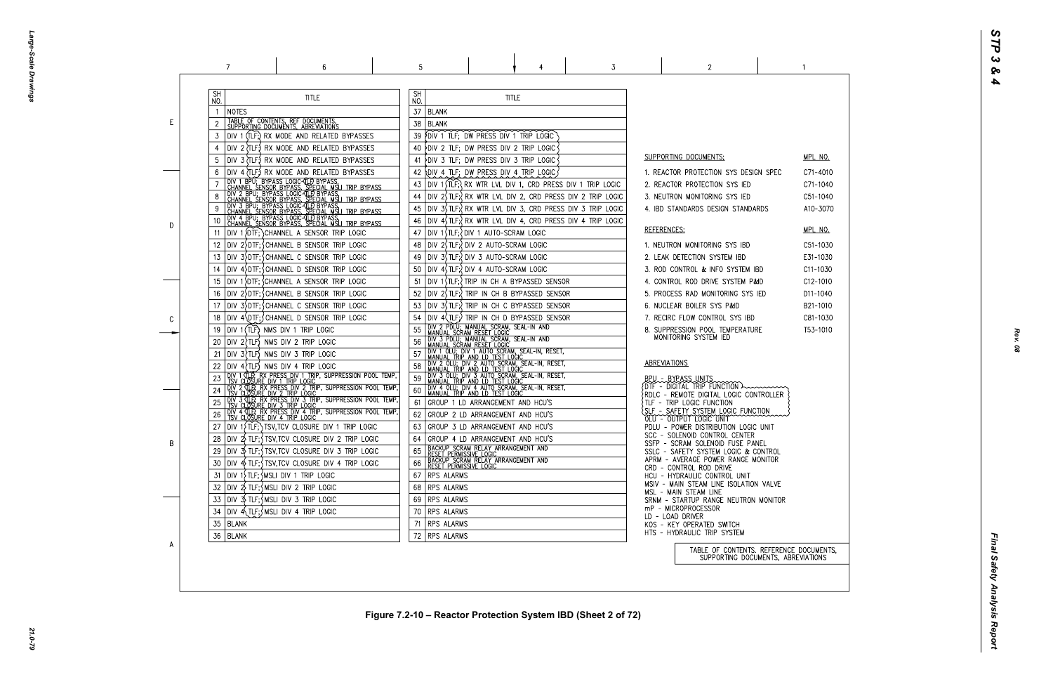Large-Scale Drawings *Large-Scale Drawings*

|    | 7                                                                                                                                                                                                                                        | 6                                                                                                                                                                                                                                                                                                                                                                                                                                                               | 5                                                                                                       |                                                                                                                                                                                                                                                                                                                                                                                                                                                                                                                                                                                   | 3                                                                                                                                                                                                                                                                                                                  | 2                                                                                                                                                                                                                                                                                                                                                                                                                                                                                                                                                                             |  |
|----|------------------------------------------------------------------------------------------------------------------------------------------------------------------------------------------------------------------------------------------|-----------------------------------------------------------------------------------------------------------------------------------------------------------------------------------------------------------------------------------------------------------------------------------------------------------------------------------------------------------------------------------------------------------------------------------------------------------------|---------------------------------------------------------------------------------------------------------|-----------------------------------------------------------------------------------------------------------------------------------------------------------------------------------------------------------------------------------------------------------------------------------------------------------------------------------------------------------------------------------------------------------------------------------------------------------------------------------------------------------------------------------------------------------------------------------|--------------------------------------------------------------------------------------------------------------------------------------------------------------------------------------------------------------------------------------------------------------------------------------------------------------------|-------------------------------------------------------------------------------------------------------------------------------------------------------------------------------------------------------------------------------------------------------------------------------------------------------------------------------------------------------------------------------------------------------------------------------------------------------------------------------------------------------------------------------------------------------------------------------|--|
| E. | <b>SH</b><br>NO.<br>NOTES<br>TABLE OF CONTENTS, REF DOCUMENTS, SUPPORTING DOCUMENTS, ABREVIATIONS<br>3                                                                                                                                   | <b>TITLE</b><br>DIV 1 (TLF;) RX MODE AND RELATED BYPASSES<br>DIV 2 (TLF) RX MODE AND RELATED BYPASSES                                                                                                                                                                                                                                                                                                                                                           | <b>SH</b><br>NO.<br>37<br><b>BLANK</b><br>38<br><b>BLANK</b><br>39.<br>40                               | <b>TITLE</b><br>FOIV 1 TLF; DW PRESS DIV 1 TRIP LOGIC<br>DIV 2 TLF; DW PRESS DIV 2 TRIP LOGIC                                                                                                                                                                                                                                                                                                                                                                                                                                                                                     |                                                                                                                                                                                                                                                                                                                    |                                                                                                                                                                                                                                                                                                                                                                                                                                                                                                                                                                               |  |
| D  | 10<br>11<br>12<br>13                                                                                                                                                                                                                     | DIV 3 (TLF) RX MODE AND RELATED BYPASSES<br>DIV 4 (TLF.) RX MODE AND RELATED BYPASSES<br><b>THE TRANSPORT OF THE CONSUMING CONTROLS ON THE CONSUMING CONSUMING CONSUMING CONSUMING CONSUMING CONSUMING CONSUMING CONSUMING CONSUMING CONSUMING CONSUMING CONSUMING CONSUMING CONSUMING CONSUMING CONSUMING CONSUMING CONS</b><br>DIV 1 {DTF; } CHANNEL A SENSOR TRIP LOGIC<br>DIV 2>DTF; SCHANNEL B SENSOR TRIP LOGIC<br>DIV 3>DTF; CHANNEL C SENSOR TRIP LOGIC | 41<br>42<br>43<br>44<br>45<br>46<br>47<br>48<br>49                                                      | PDIV 3 TLF; DW PRESS DIV 3 TRIP LOGIC<br>OIV 4 TLF; DW PRESS DIV 4 TRIP LOGIC<br>DIV 1 STLF; OIV 1 AUTO-SCRAM LOGIC<br> DIV 2(TLF:\DIV 2 AUTO-SCRAM LOGIC<br>DIV 3(TLF;) DIV 3 AUTO-SCRAM LOGIC                                                                                                                                                                                                                                                                                                                                                                                   | DIV 1 $\overline{I}$ (TLF; $\overline{I}$ RX WTR LVL DIV 1, CRD PRESS DIV 1 TRIP LOGIC<br>DIV $2\sqrt{t}$ TLF; $\sqrt{t}$ RX WTR LVL DIV 2, CRD PRESS DIV 2 TRIP LOGIC<br>DIV 3\$TLF; RX WTR LVL DIV 3, CRD PRESS DIV 3 TRIP LOGIC<br>DIV $4\sqrt{t}$ TLF; $\sqrt{t}$ RX WTR LVL DIV 4, CRD PRESS DIV 4 TRIP LOGIC | SUPPORTING DOCUMENTS:<br>1. REACTOR PROTECTION SYS DESIGN SPE<br>2. REACTOR PROTECTION SYS IED<br>3. NEUTRON MONITORING SYS IED<br>4. IBD STANDARDS DESIGN STANDARDS<br>REFERENCES:<br>1. NEUTRON MONITORING SYS IBD<br>2. LEAK DETECTION SYSTEM IBD                                                                                                                                                                                                                                                                                                                          |  |
| C  | 14<br>15<br>16<br>17<br>18<br>DIV 1 (TLF) NMS DIV 1 TRIP LOGIC<br>19<br>$DIV$ 2 $TLF$ NMS DIV 2 TRIP LOGIC<br>20                                                                                                                         | DIV 4 DTF; CHANNEL D SENSOR TRIP LOGIC<br>DIV 1 DIF; CHANNEL A SENSOR TRIP LOGIC<br>DIV 2 DTF; CHANNEL B SENSOR TRIP LOGIC<br>DIV 3 DTF; CHANNEL C SENSOR TRIP LOGIC<br>DIV 4\DTF; CHANNEL D SENSOR TRIP LOGIC                                                                                                                                                                                                                                                  | 50<br>51<br>52<br>53<br>54<br>55<br>56                                                                  | DIV 4, TLF: UN 4 AUTO-SCRAM LOGIC<br>DIV 1(TLF; ) TRIP IN CH A BYPASSED SENSOR<br>DIV 2, TLF; TRIP IN CH B BYPASSED SENSOR<br>DIV 3(TLF:) TRIP IN CH C BYPASSED SENSOR<br>DIV 4(TLF;) TRIP IN CH D BYPASSED SENSOR<br>DIV 2 PDLU; MANUAL SCRAM, SEAL-IN AND<br>MANUAL SCRAM RESET LOGIC<br>DIV 3 PDLU; MANUAL SCRĂM, SEAL-IN AND<br>MANUAL SCRAM RESET LOGIC                                                                                                                                                                                                                      |                                                                                                                                                                                                                                                                                                                    | 3. ROD CONTROL & INFO SYSTEM IBD<br>4. CONTROL ROD DRIVE SYSTEM P&ID<br>5. PROCESS RAD MONITORING SYS IED<br>6. NUCLEAR BOILER SYS P&ID<br>7. RECIRC FLOW CONTROL SYS IBD<br>8. SUPPRESSION POOL TEMPERATURE<br>MONITORING SYSTEM IED                                                                                                                                                                                                                                                                                                                                         |  |
| B  | $DIV 3$ $TLF$ NMS DIV 3 TRIP LOGIC<br>21<br>$DIV 4$ $TLF$ ) NMS DIV 4 TRIP LOGIC<br>26<br>28<br>30<br>$ $ DIV 1 $\rangle$ TLF; $\zeta$ MSLI DIV 1 TRIP LOGIC<br>31<br>$ $ DIV $2\sqrt{ }$ TLF; $\frac{1}{2}$ MSLI DIV 2 TRIP LOGIC<br>32 | DIV 4 TLP, RX PRESS DIV 4 TRIP, SUPPRESSION POOL TEMP,<br>TSV CLOSURE DIV 4 TRIP LOGIC<br>DIV $1\overline{1}$ (TLF; ) TSV, TCV CLOSURE DIV 1 TRIP LOGIC<br>$ D V \t2$ TLF; $\int$ TSV, TCV CLOSURE DIV 2 TRIP LOGIC<br> DIV 3) TLF;{TSV,TCV CLOSURE DIV 3 TRIP LOGIC<br>$ D V $ 4 $\frac{1}{2}$ TLF; $\frac{1}{2}$ TSV, TCV CLOSURE DIV 4 TRIP LOGIC                                                                                                            | 57<br>58<br>59<br>60<br>61<br>62<br>63<br>64<br>65<br>66<br>RPS ALARMS<br>67<br><b>RPS ALARMS</b><br>68 | THE THE THE THE SCRAM, SEAL-IN, RESET,<br>I MANUAL TRIP AND LD TEST LOGIC<br>DIV 2 OLU; DIV 2 AUTO SCRAM, SEAL-IN, RESET,<br>I MANUAL TRIP AND LD TEST LOGIC<br>DIV 3 OLU; DIV 3 AUTO SCRAM, SEAL-IN, RESET,<br>MANUAL TRIP AND LD TEST LOGIC<br>DIV 4 OLU; DIV 4 AUTO SCRAM, SEAL-IN, RESET,<br>GROUP 1 LD ARRANGEMENT AND HCU'S<br>GROUP 2 LD ARRANGEMENT AND HCU'S<br>GROUP 3 LD ARRANGEMENT AND HCU'S<br>GROUP 4 LD ARRANGEMENT AND HCU'S<br>TBACKUP SCRAM RELAY ARRANGEMENT AND<br>TRESET PERMISSIVE LOGIC<br>TBACKUP SCRAM RELAY ARRANGEMENT AND<br>TRESET PERMISSIVE LOGIC |                                                                                                                                                                                                                                                                                                                    | ABREVIATIONS<br>BPU - BYPASS UNITS<br>$\{$ DTF - DIGITAL TRIP FUNCTION $\rightarrow$<br>$\{ \texttt{RDLC}$ - $\texttt{REMOTE}$ digital logic controlle<br>TLF - TRIP LOGIC FUNCTION<br>SLF - SAFETY SYSTEM LOGIC FUNCTION<br>OLU - OUTPUT LOGIC UNIT<br>PDLU - POWER DISTRIBUTION LOGIC UNIT<br>SCC - SOLENOID CONTROL CENTER<br>SSFP - SCRAM SOLENOID FUSE PANEL<br>SSLC - SAFETY SYSTEM LOGIC & CONTROL<br>APRM - AVERAGE POWER RANGE MONITOR<br>CRD - CONTROL ROD DRIVE<br>HCU - HYDRAULIC CONTROL UNIT<br>MSIV - MAIN STEAM LINE ISOLATION VALVI<br>MSL - MAIN STEAM LINE |  |
| A  | $ D V \rightrightarrows$ TLF; $\wedge$ MSLI DIV 3 TRIP LOGIC<br>33<br>$Div 4\{TLF\}$ MSLI DIV 4 TRIP LOGIC<br>34<br>35<br>BLANK<br>36   BLANK                                                                                            |                                                                                                                                                                                                                                                                                                                                                                                                                                                                 | RPS ALARMS<br>69<br>RPS ALARMS<br>70<br><b>RPS ALARMS</b><br>71<br>RPS ALARMS<br>72                     |                                                                                                                                                                                                                                                                                                                                                                                                                                                                                                                                                                                   |                                                                                                                                                                                                                                                                                                                    | SRNM - STARTUP RANGE NEUTRON MONIT<br>mP - MICROPROCESSOR<br>LD - LOAD DRIVER<br>KOS - KEY OPERATED SWITCH<br>HTS - HYDRAULIC TRIP SYSTEM<br>TABLE OF CONTENTS. REFER<br>SUPPORTING DOCUMENTS                                                                                                                                                                                                                                                                                                                                                                                 |  |

| - (           | <u>MPL NO.</u><br>C71-4010<br>C71-1040<br>C51-1040<br>A10-3070                                                 |
|---------------|----------------------------------------------------------------------------------------------------------------|
|               | <u>MPL NO.</u><br>C51-1030<br>E31-1030<br>C11-1030<br>C12-1010<br>D11-1040<br>B21-1010<br>C81-1030<br>T53-1010 |
| .ER           |                                                                                                                |
| $\mathcal{C}$ |                                                                                                                |
| νE<br>TOR     |                                                                                                                |
| S,            | RENCE DOCUMENTS <mark>,</mark><br>S, ABREVIATIONS                                                              |

 $\sim$  1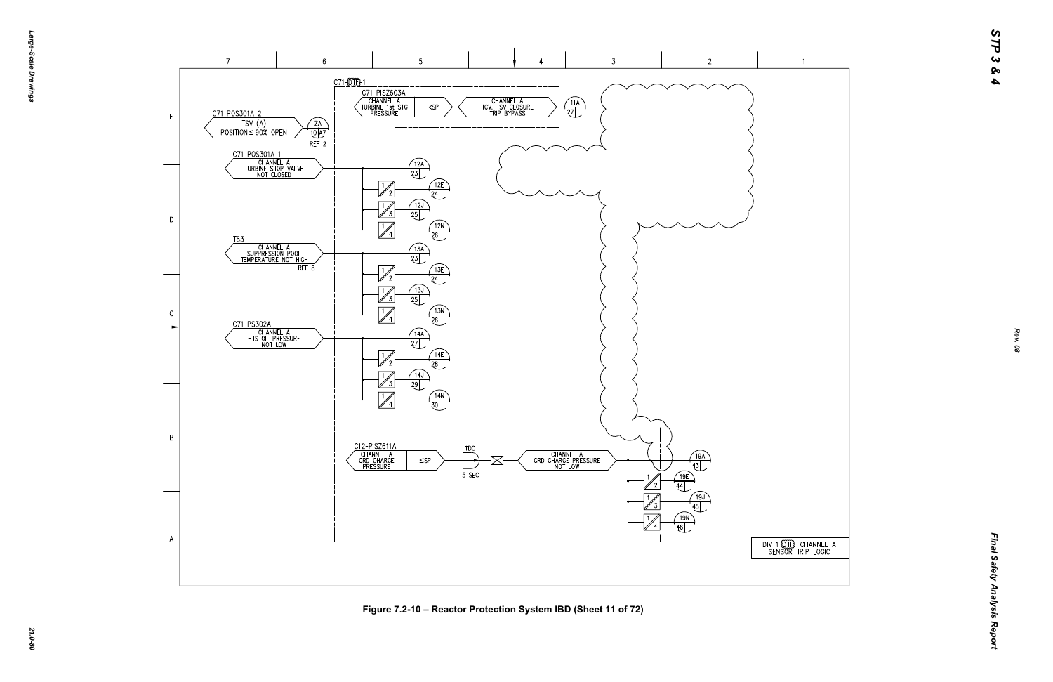

-эбле-*Large-Scale Drawings* -Scale Drawings



*21.0-80* **Figure 7.2-10 – Reactor Protection System IBD (Sheet 11 of 72)**

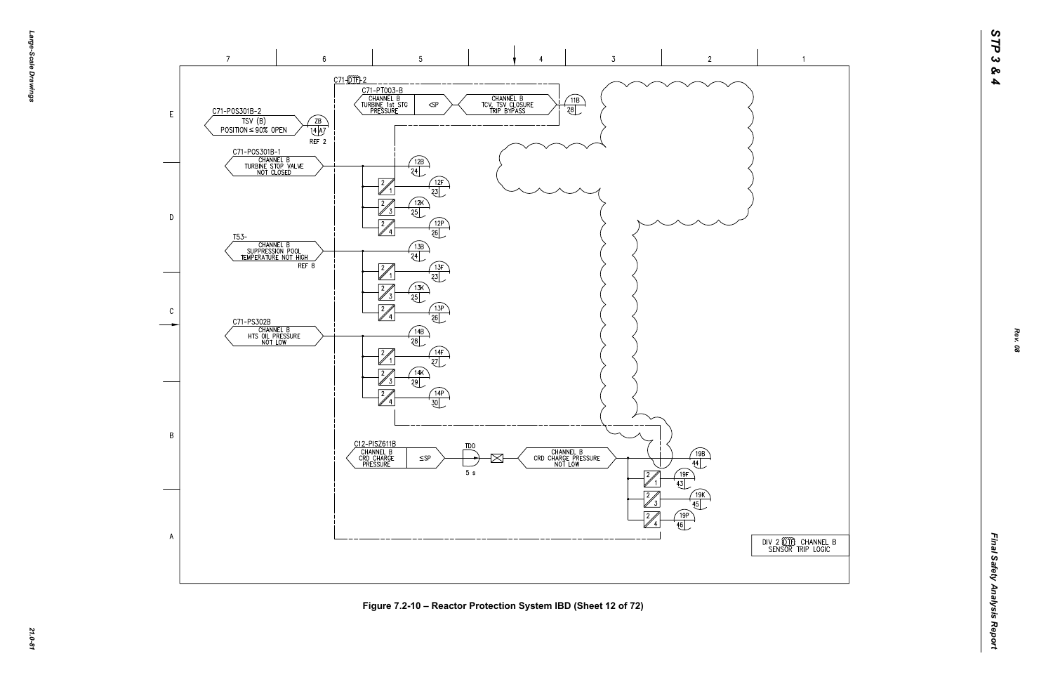



*21.0-81* **Figure 7.2-10 – Reactor Protection System IBD (Sheet 12 of 72)**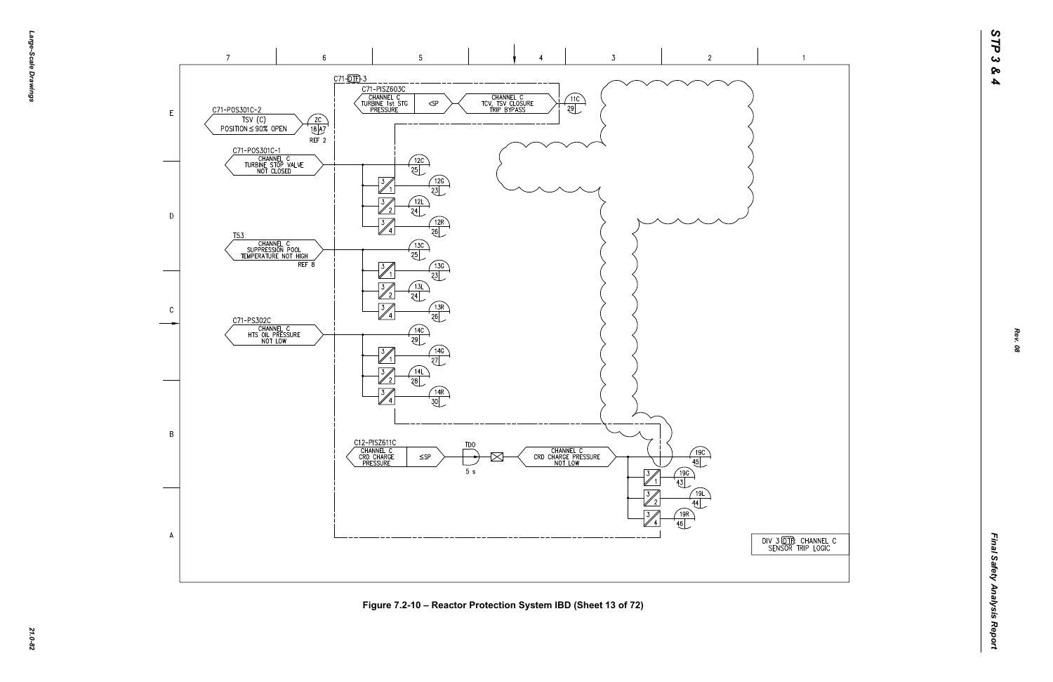## $\overline{1}$





*21.0-82* **Figure 7.2-10 – Reactor Protection System IBD (Sheet 13 of 72)**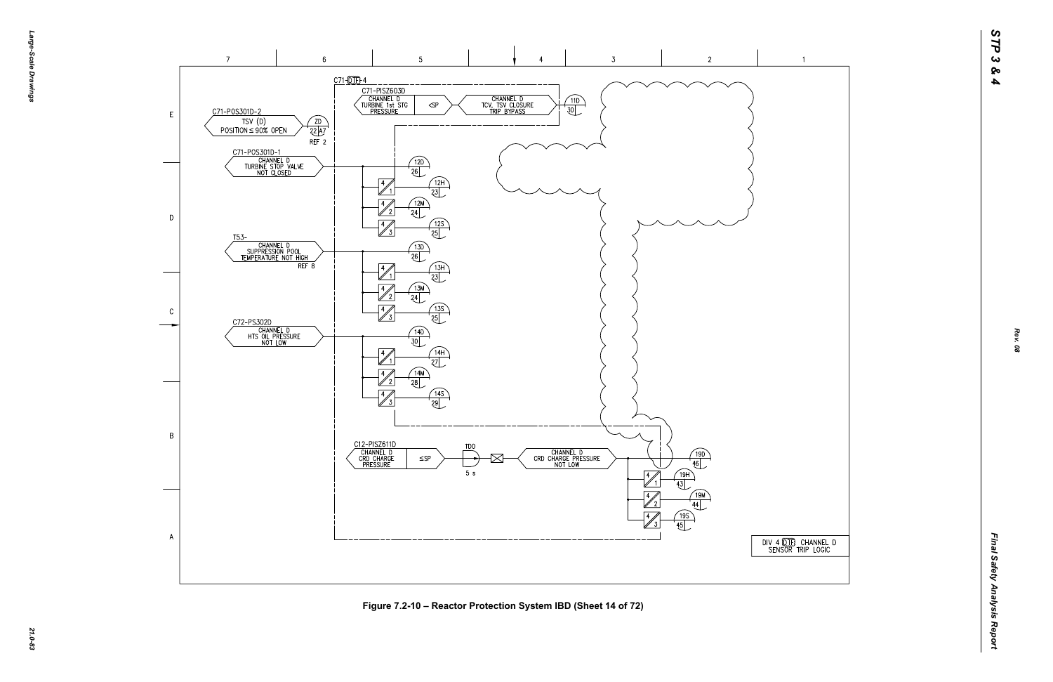





*21.0-83* **Figure 7.2-10 – Reactor Protection System IBD (Sheet 14 of 72)**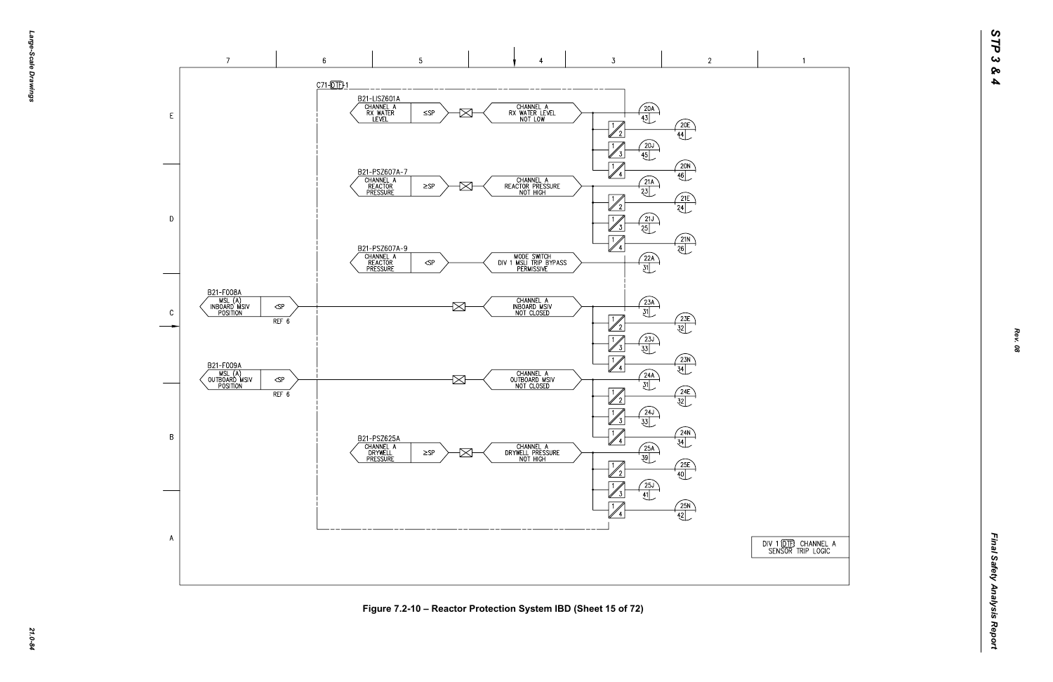## $\overline{1}$





Figure 7.2-10 – Reactor Protection System IBD (Sheet 15 of 72)<br>ية<br>يُ<sup>م</sup>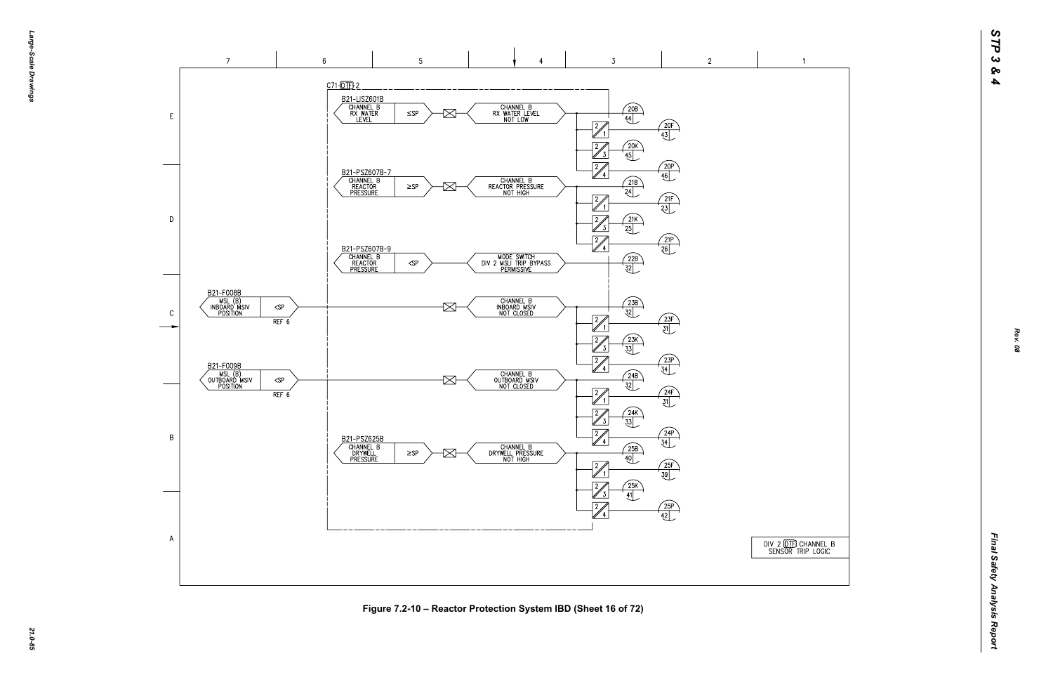



*21.0-85* **Figure 7.2-10 – Reactor Protection System IBD (Sheet 16 of 72)**

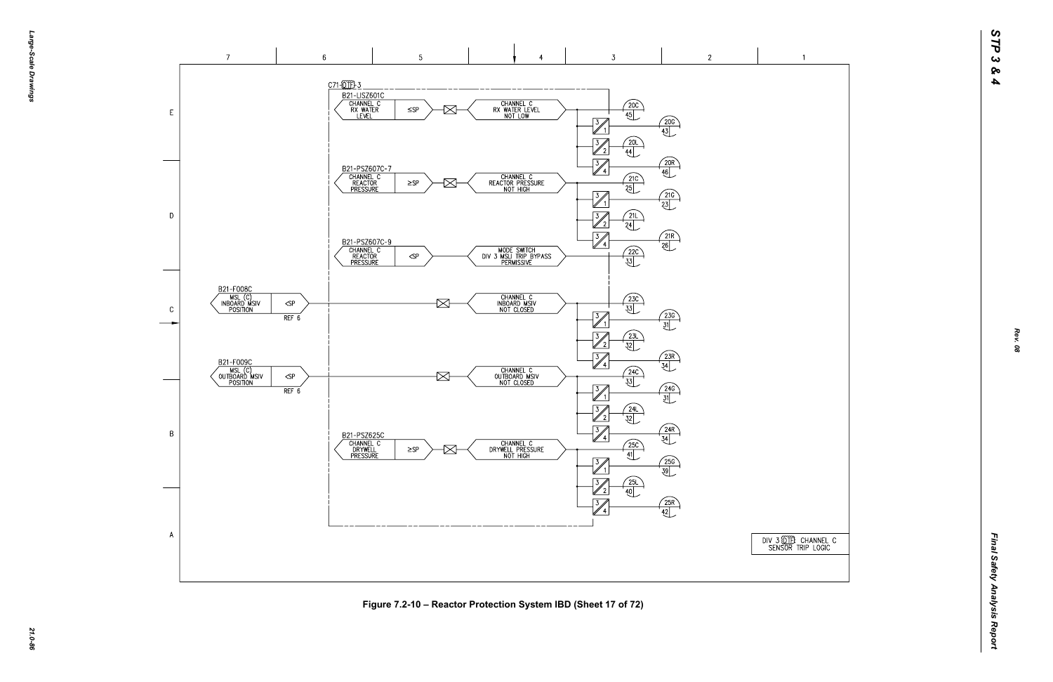

*21.0-86* **Figure 7.2-10 – Reactor Protection System IBD (Sheet 17 of 72)**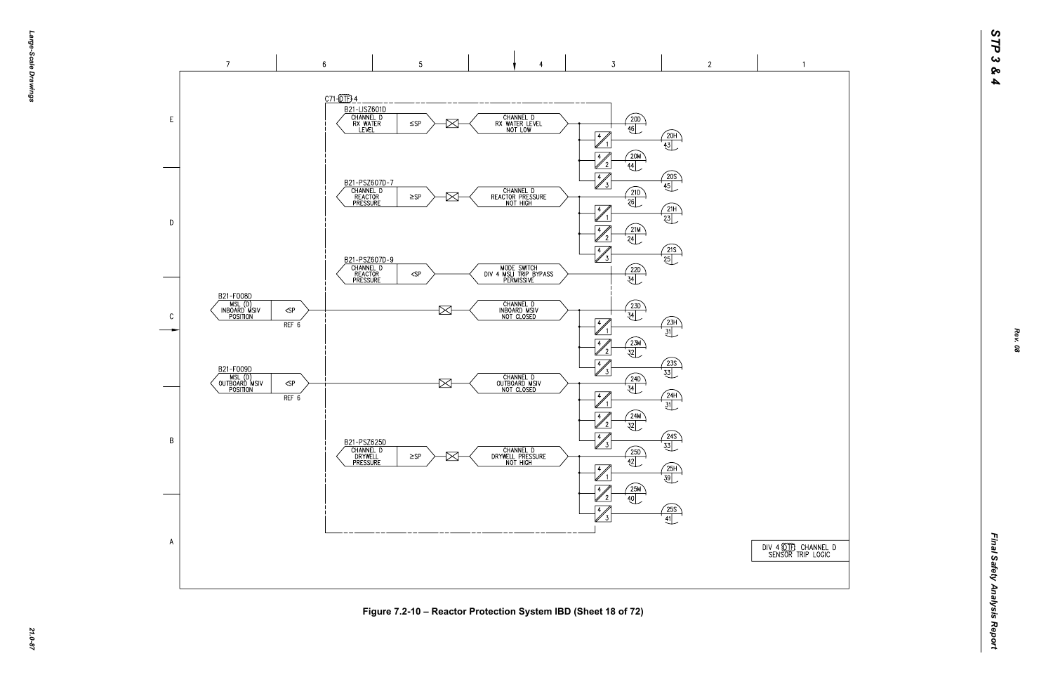DIV 4 (DTF) CHANNEL D<br>SENSOR TRIP LOGIC

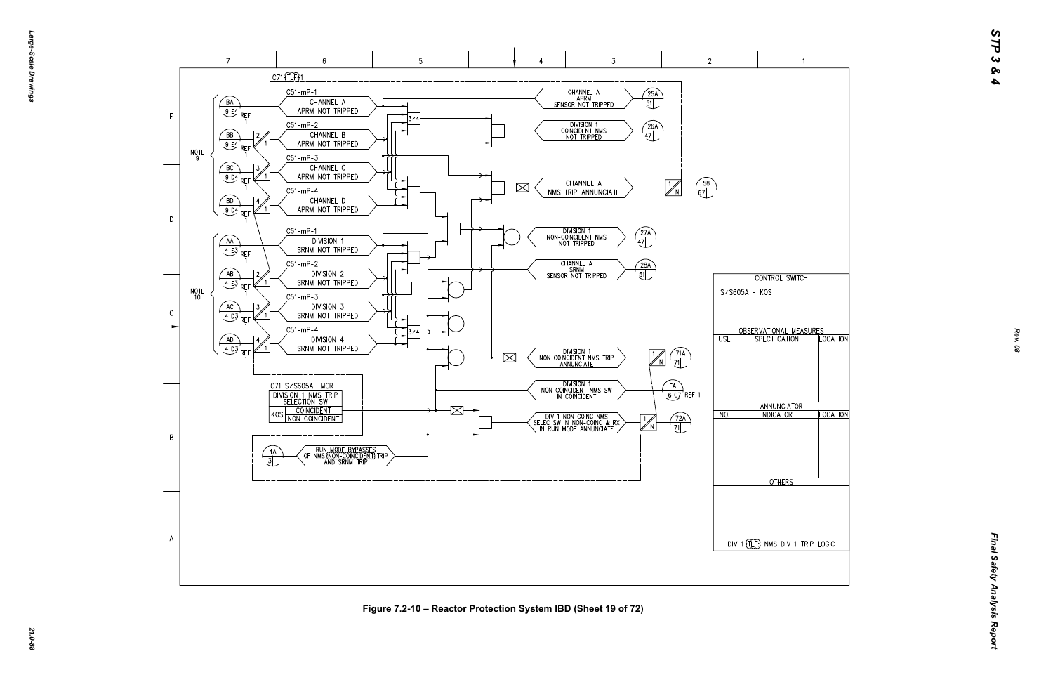

*21.0-88* **Figure 7.2-10 – Reactor Protection System IBD (Sheet 19 of 72)**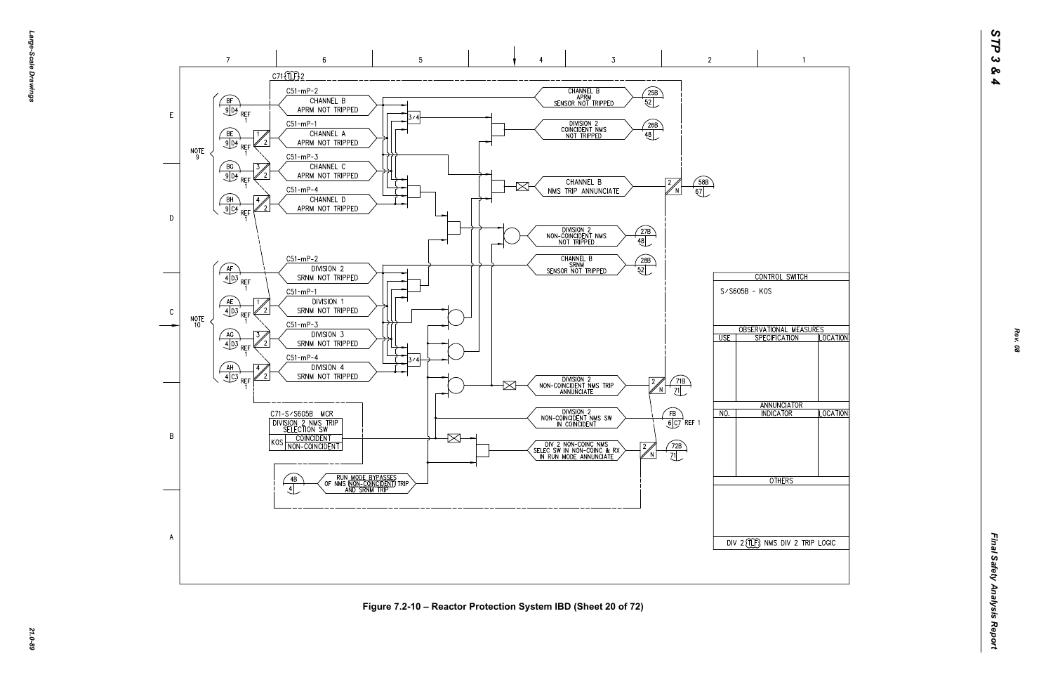

*21.0-89* **Figure 7.2-10 – Reactor Protection System IBD (Sheet 20 of 72)**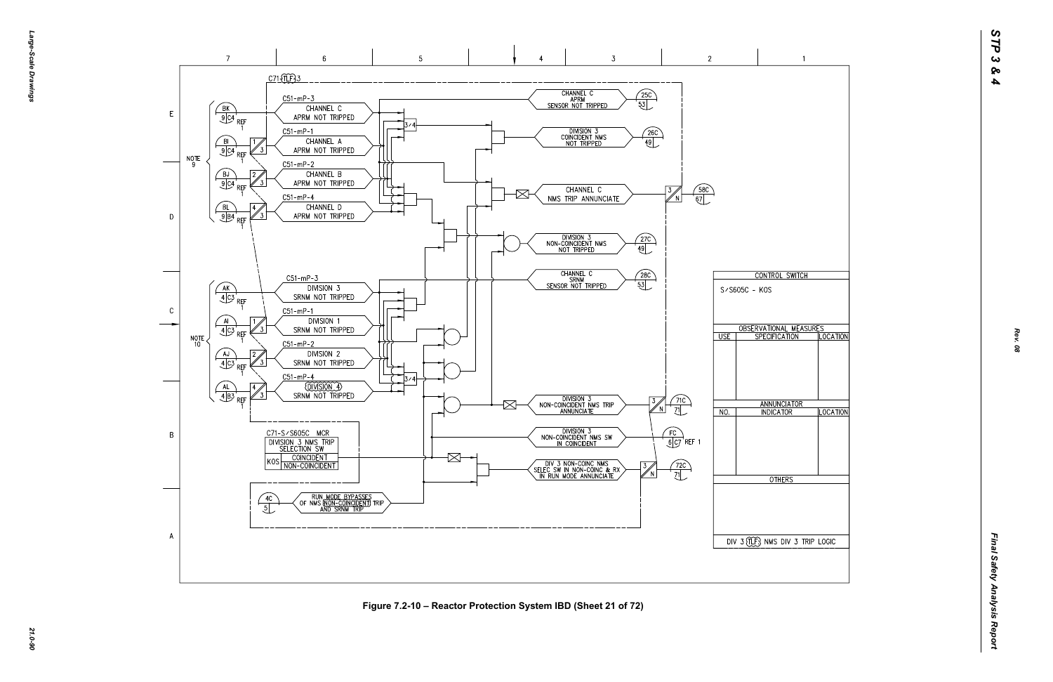

*21.0-90* **Figure 7.2-10 – Reactor Protection System IBD (Sheet 21 of 72)**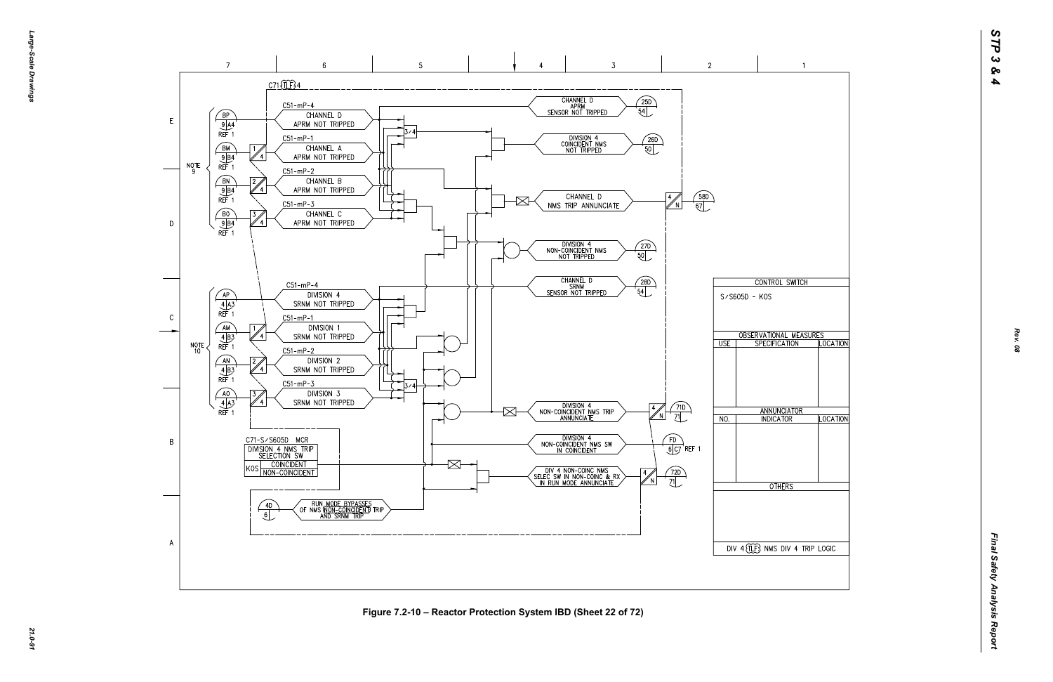*Large-Scale Drawings* arge--Scale Drawings

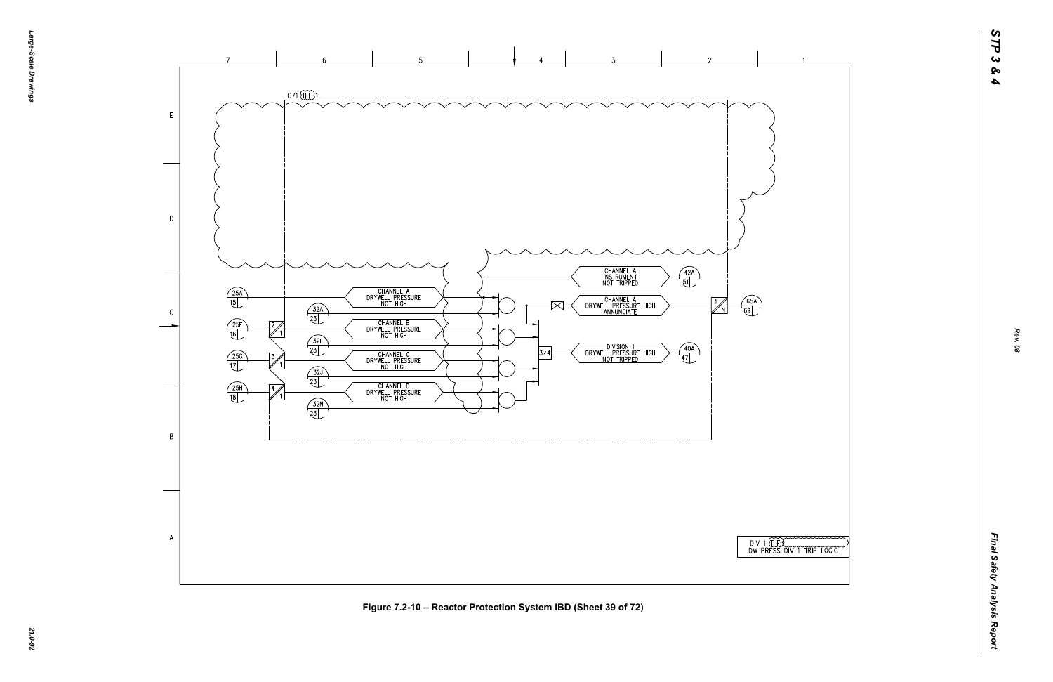

*21.0-92* **Figure 7.2-10 – Reactor Protection System IBD (Sheet 39 of 72)**



 $\overline{1}$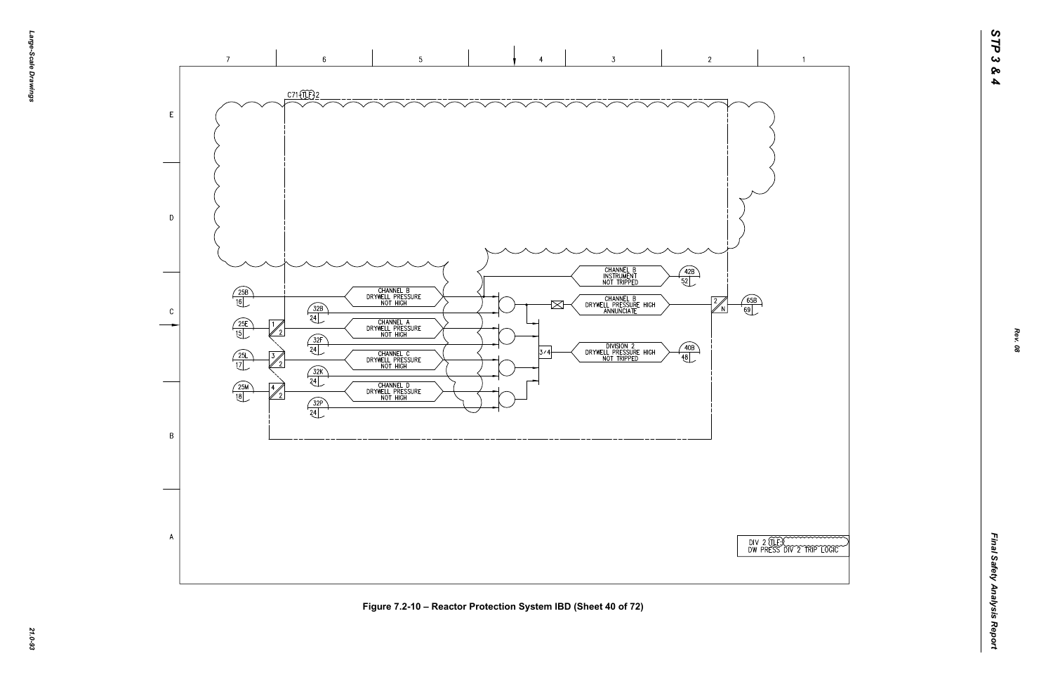

|  |  | TER CONTRACTOR |  |
|--|--|----------------|--|

 $\overline{1}$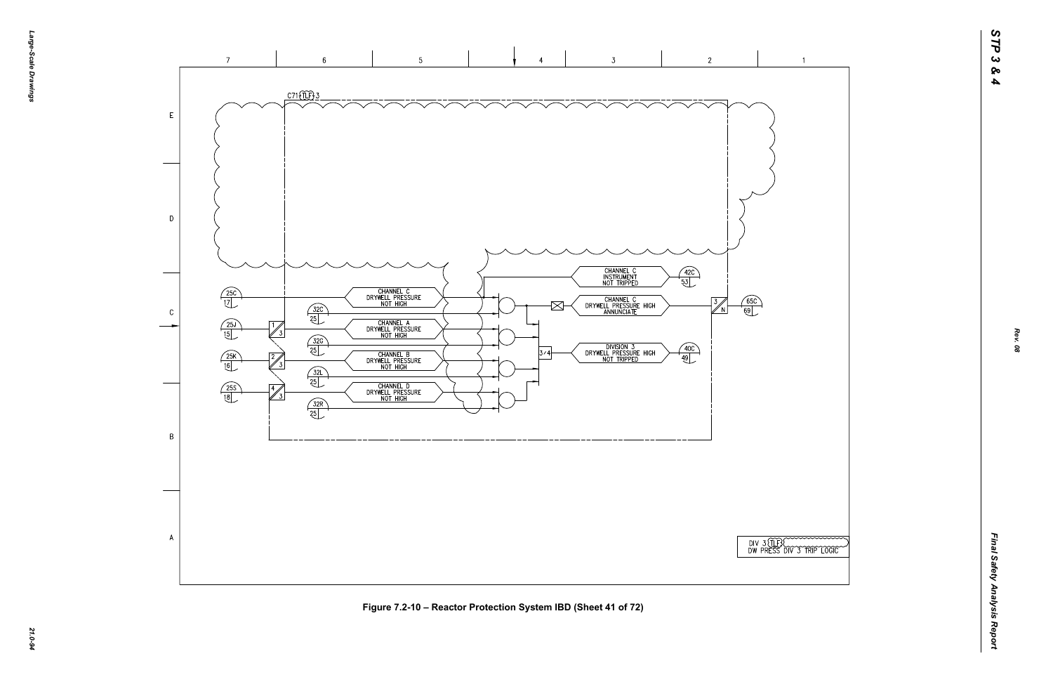

*21.0-94* **Figure 7.2-10 – Reactor Protection System IBD (Sheet 41 of 72)**

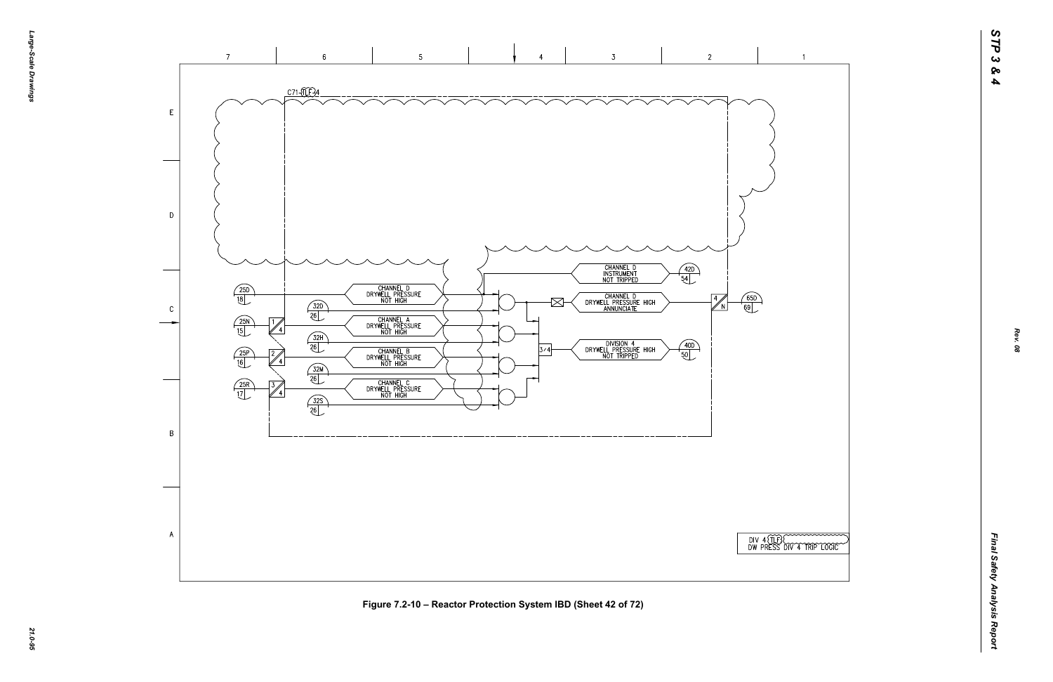



 $\overline{1}$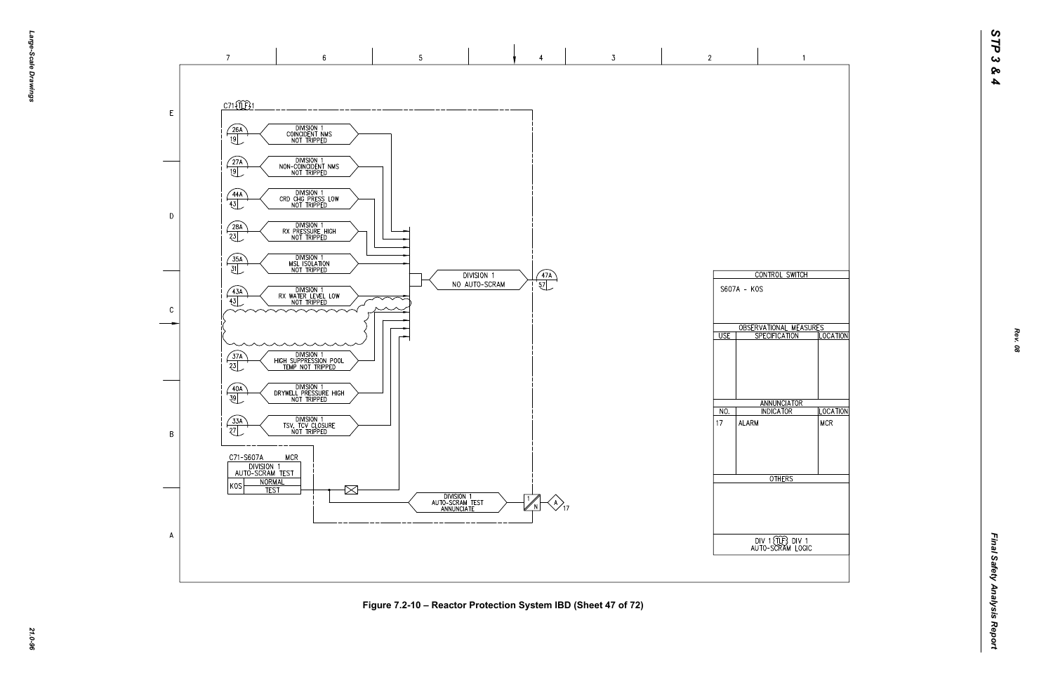

*21.0-96* **Figure 7.2-10 – Reactor Protection System IBD (Sheet 47 of 72)**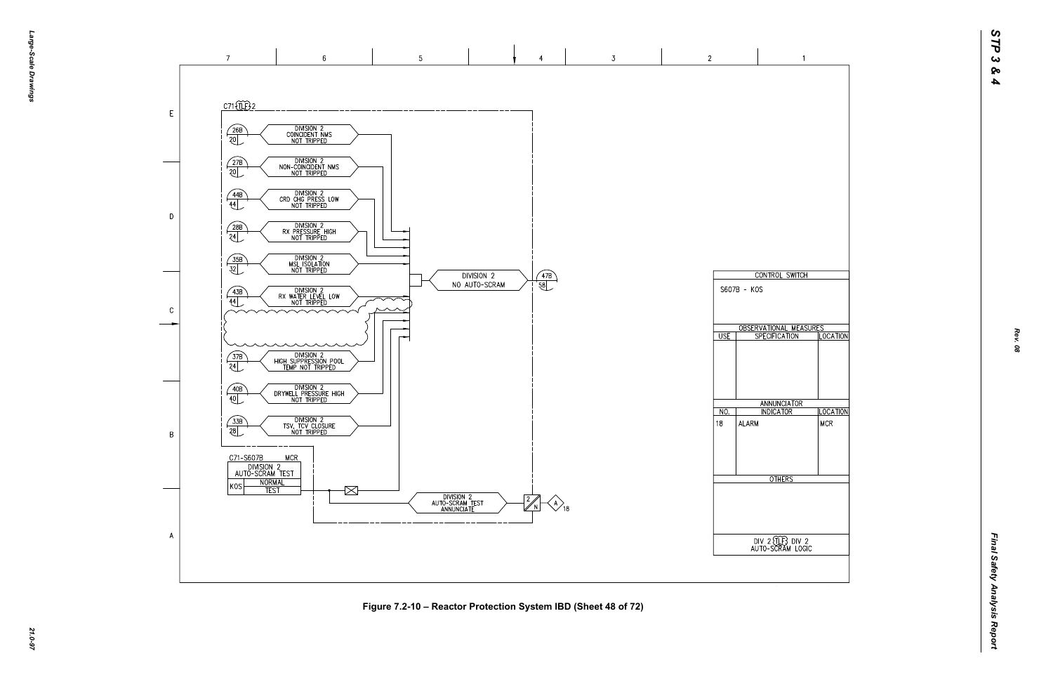

*21.0-97* **Figure 7.2-10 – Reactor Protection System IBD (Sheet 48 of 72)**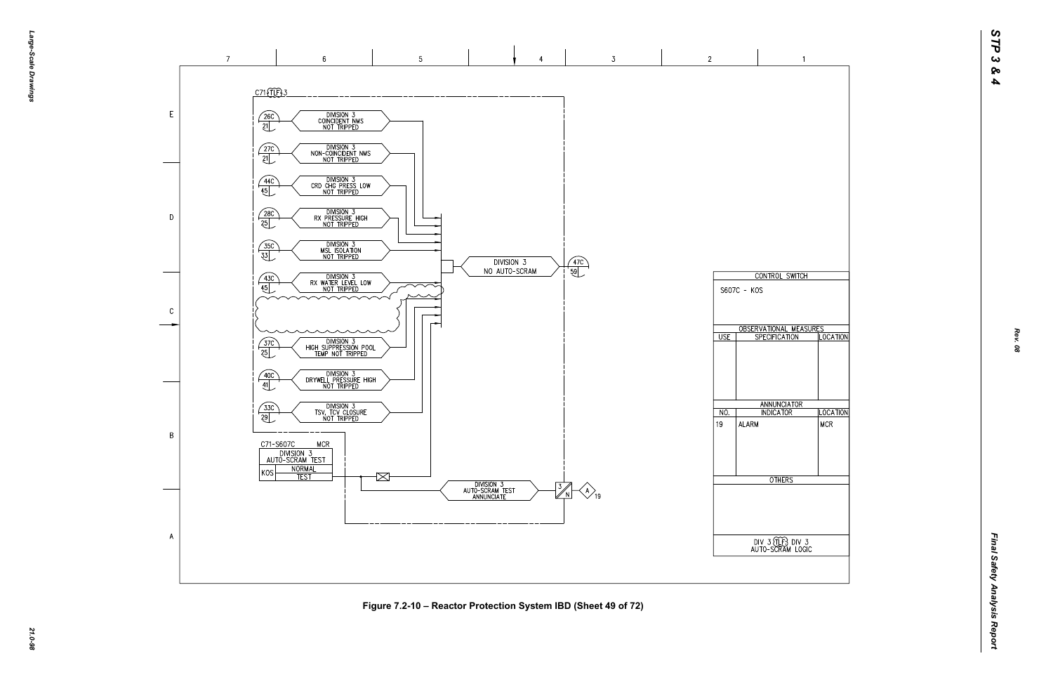

*21.0-98* **Figure 7.2-10 – Reactor Protection System IBD (Sheet 49 of 72)**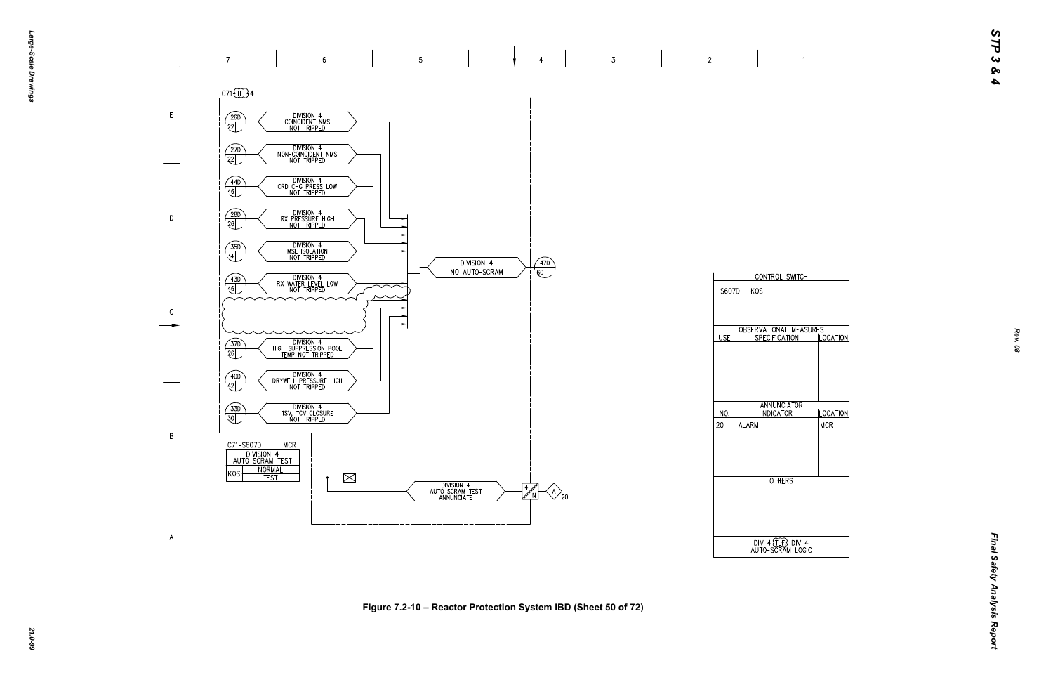*Final Safety Analysis Report* Final Safety Analysis Report



*21.0-99* **Figure 7.2-10 – Reactor Protection System IBD (Sheet 50 of 72)**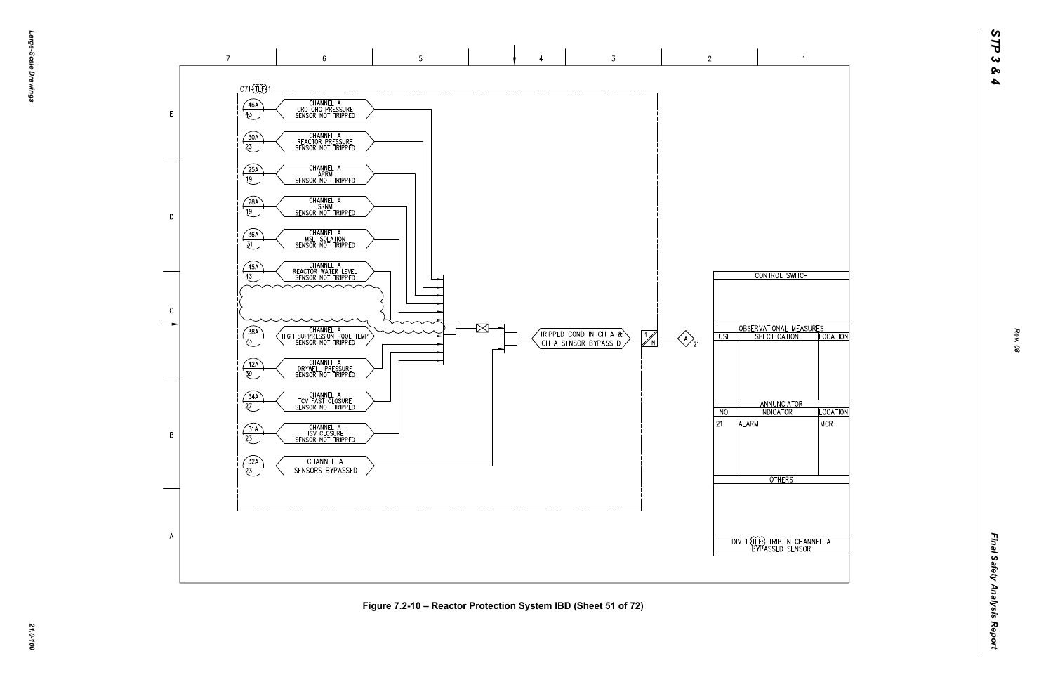

![](_page_22_Figure_1.jpeg)

*21.0-100* **Figure 7.2-10 – Reactor Protection System IBD (Sheet 51 of 72)**

![](_page_22_Figure_4.jpeg)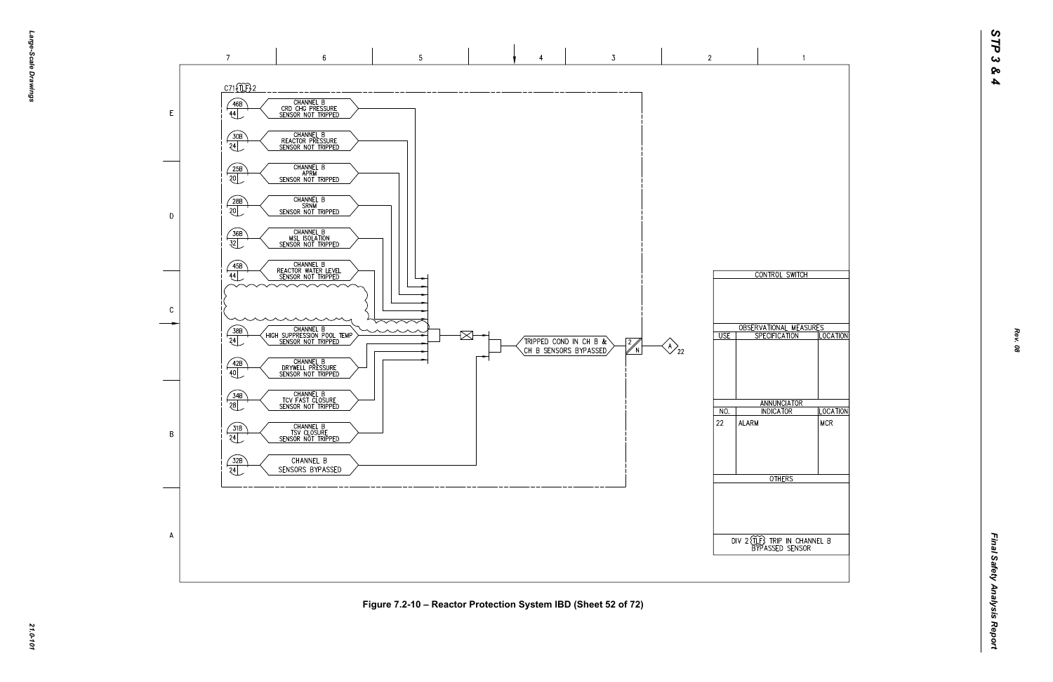![](_page_23_Figure_0.jpeg)

![](_page_23_Figure_1.jpeg)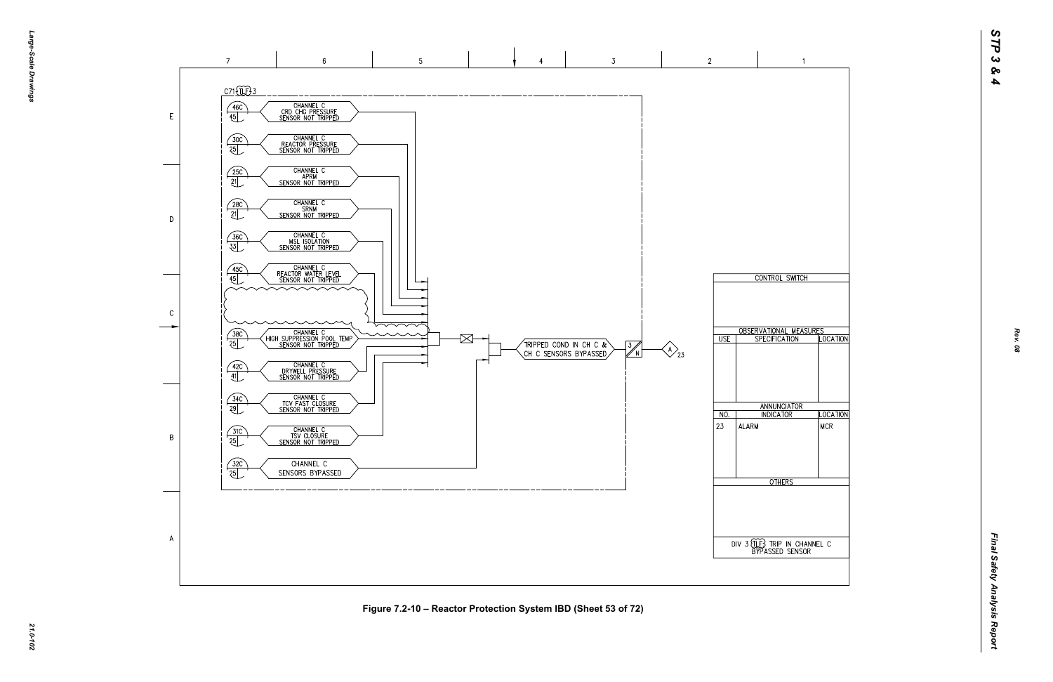![](_page_24_Figure_1.jpeg)

*21.0-102* **Figure 7.2-10 – Reactor Protection System IBD (Sheet 53 of 72)**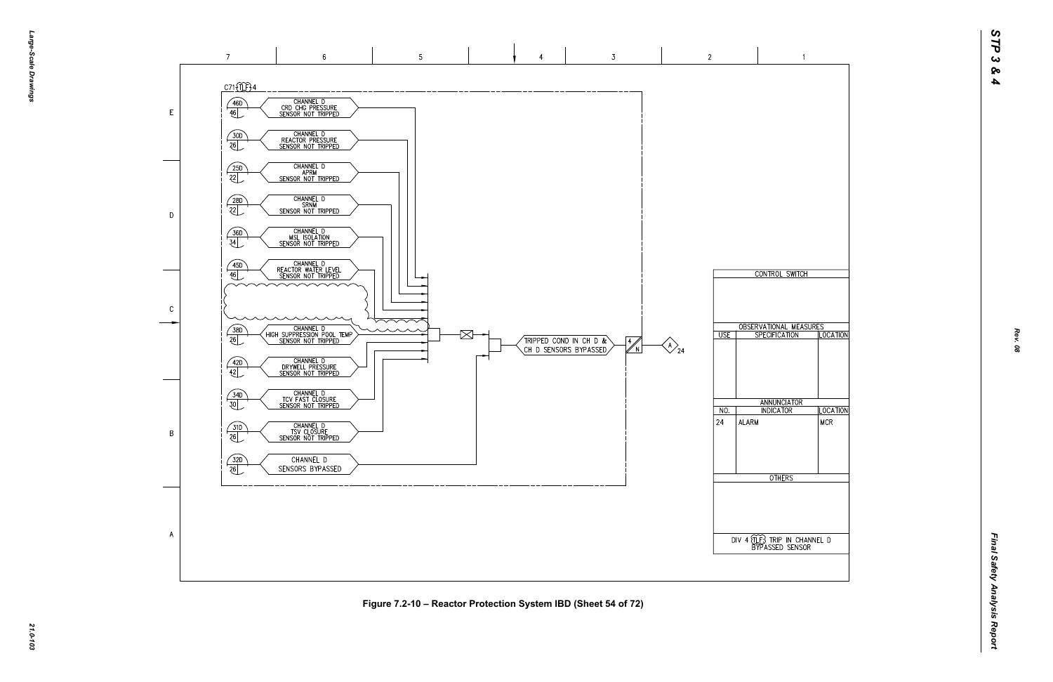![](_page_25_Figure_0.jpeg)

 $\overline{A}$ 

*21.0-103* **Figure 7.2-10 – Reactor Protection System IBD (Sheet 54 of 72)**

![](_page_25_Figure_4.jpeg)

 $\overline{2}$ 

 $\overline{\cup}$  USE

 $NO.$ 

ALARM

 $|24\rangle$ 

 $\bigotimes_{24}$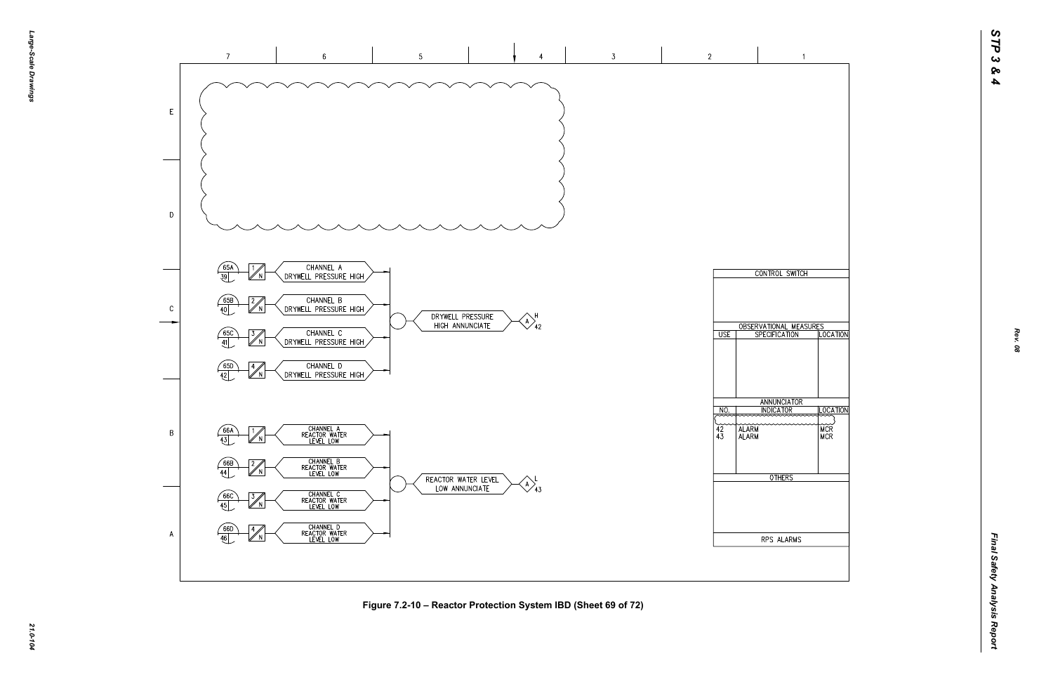![](_page_26_Figure_1.jpeg)

*21.0-104* **Figure 7.2-10 – Reactor Protection System IBD (Sheet 69 of 72)**